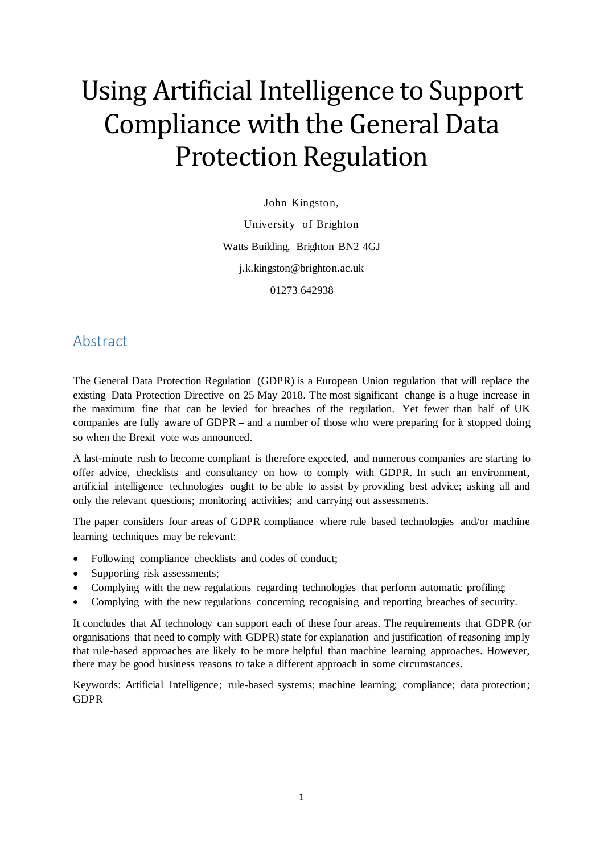# Using Artificial Intelligence to Support Compliance with the General Data Protection Regulation

John Kingston, University of Brighton Watts Building, Brighton BN2 4GJ j.k.kingston@brighton.ac.uk 01273 642938

#### **Abstract**

The General Data Protection Regulation (GDPR) is a European Union regulation that will replace the existing Data Protection Directive on 25 May 2018. The most significant change is a huge increase in the maximum fine that can be levied for breaches of the regulation. Yet fewer than half of UK companies are fully aware of GDPR – and a number of those who were preparing for it stopped doing so when the Brexit vote was announced.

A last-minute rush to become compliant is therefore expected, and numerous companies are starting to offer advice, checklists and consultancy on how to comply with GDPR. In such an environment, artificial intelligence technologies ought to be able to assist by providing best advice; asking all and only the relevant questions; monitoring activities; and carrying out assessments.

The paper considers four areas of GDPR compliance where rule based technologies and/or machine learning techniques may be relevant:

- Following compliance checklists and codes of conduct;
- Supporting risk assessments;
- Complying with the new regulations regarding technologies that perform automatic profiling;
- Complying with the new regulations concerning recognising and reporting breaches of security.

It concludes that AI technology can support each of these four areas. The requirements that GDPR (or organisations that need to comply with GDPR) state for explanation and justification of reasoning imply that rule-based approaches are likely to be more helpful than machine learning approaches. However, there may be good business reasons to take a different approach in some circumstances.

Keywords: Artificial Intelligence; rule-based systems; machine learning; compliance; data protection; GDPR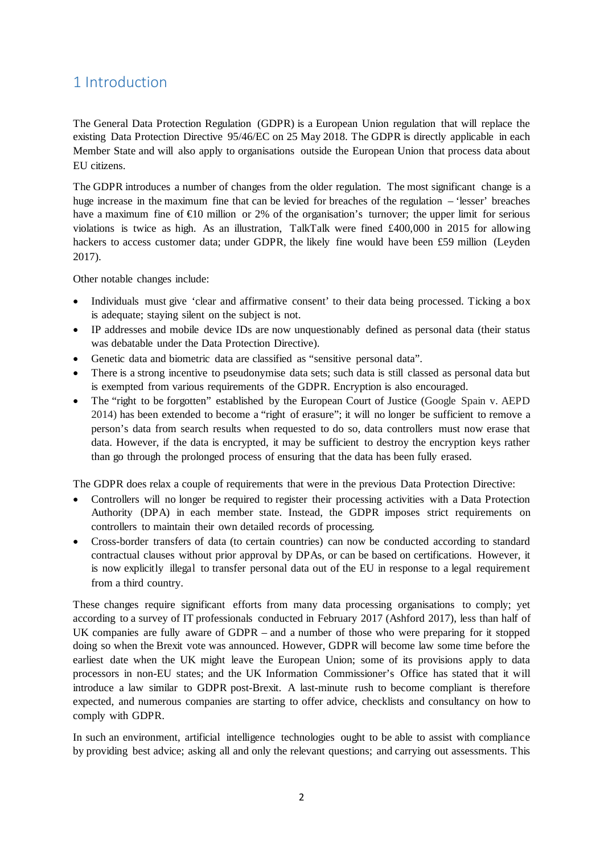## 1 Introduction

The General Data Protection Regulation (GDPR) is a European Union regulation that will replace the existing Data Protection Directive 95/46/EC on 25 May 2018. The GDPR is directly applicable in each Member State and will also apply to organisations outside the European Union that process data about EU citizens.

The GDPR introduces a number of changes from the older regulation. The most significant change is a huge increase in the maximum fine that can be levied for breaches of the regulation – 'lesser' breaches have a maximum fine of  $\epsilon 10$  million or 2% of the organisation's turnover; the upper limit for serious violations is twice as high. As an illustration, TalkTalk were fined £400,000 in 2015 for allowing hackers to access customer data; under GDPR, the likely fine would have been £59 million (Leyden 2017).

Other notable changes include:

- Individuals must give 'clear and affirmative consent' to their data being processed. Ticking a box is adequate; staying silent on the subject is not.
- IP addresses and mobile device IDs are now unquestionably defined as personal data (their status was debatable under the Data Protection Directive).
- Genetic data and biometric data are classified as "sensitive personal data".
- There is a strong incentive to pseudonymise data sets; such data is still classed as personal data but is exempted from various requirements of the GDPR. Encryption is also encouraged.
- The "right to be forgotten" established by the European Court of Justice (Google Spain v. AEPD 2014) has been extended to become a "right of erasure"; it will no longer be sufficient to remove a person's data from search results when requested to do so, data controllers must now erase that data. However, if the data is encrypted, it may be sufficient to destroy the encryption keys rather than go through the prolonged process of ensuring that the data has been fully erased.

The GDPR does relax a couple of requirements that were in the previous Data Protection Directive:

- Controllers will no longer be required to register their processing activities with a Data Protection Authority (DPA) in each member state. Instead, the GDPR imposes strict requirements on controllers to maintain their own detailed records of processing.
- Cross-border transfers of data (to certain countries) can now be conducted according to standard contractual clauses without prior approval by DPAs, or can be based on certifications. However, it is now explicitly illegal to transfer personal data out of the EU in response to a legal requirement from a third country.

These changes require significant efforts from many data processing organisations to comply; yet according to a survey of IT professionals conducted in February 2017 (Ashford 2017), less than half of UK companies are fully aware of GDPR – and a number of those who were preparing for it stopped doing so when the Brexit vote was announced. However, GDPR will become law some time before the earliest date when the UK might leave the European Union; some of its provisions apply to data processors in non-EU states; and the UK Information Commissioner's Office has stated that it will introduce a law similar to GDPR post-Brexit. A last-minute rush to become compliant is therefore expected, and numerous companies are starting to offer advice, checklists and consultancy on how to comply with GDPR.

In such an environment, artificial intelligence technologies ought to be able to assist with compliance by providing best advice; asking all and only the relevant questions; and carrying out assessments. This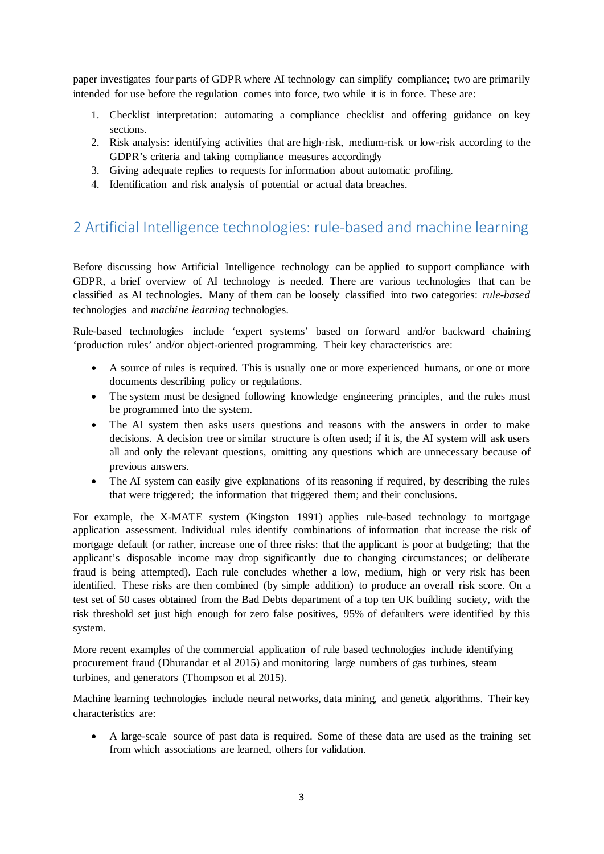paper investigates four parts of GDPR where AI technology can simplify compliance; two are primarily intended for use before the regulation comes into force, two while it is in force. These are:

- 1. Checklist interpretation: automating a compliance checklist and offering guidance on key sections.
- 2. Risk analysis: identifying activities that are high-risk, medium-risk or low-risk according to the GDPR's criteria and taking compliance measures accordingly
- 3. Giving adequate replies to requests for information about automatic profiling.
- 4. Identification and risk analysis of potential or actual data breaches.

## 2 Artificial Intelligence technologies: rule-based and machine learning

Before discussing how Artificial Intelligence technology can be applied to support compliance with GDPR, a brief overview of AI technology is needed. There are various technologies that can be classified as AI technologies. Many of them can be loosely classified into two categories: *rule-based* technologies and *machine learning* technologies.

Rule-based technologies include 'expert systems' based on forward and/or backward chaining 'production rules' and/or object-oriented programming. Their key characteristics are:

- A source of rules is required. This is usually one or more experienced humans, or one or more documents describing policy or regulations.
- The system must be designed following knowledge engineering principles, and the rules must be programmed into the system.
- The AI system then asks users questions and reasons with the answers in order to make decisions. A decision tree or similar structure is often used; if it is, the AI system will ask users all and only the relevant questions, omitting any questions which are unnecessary because of previous answers.
- The AI system can easily give explanations of its reasoning if required, by describing the rules that were triggered; the information that triggered them; and their conclusions.

For example, the X-MATE system (Kingston 1991) applies rule-based technology to mortgage application assessment. Individual rules identify combinations of information that increase the risk of mortgage default (or rather, increase one of three risks: that the applicant is poor at budgeting; that the applicant's disposable income may drop significantly due to changing circumstances; or deliberate fraud is being attempted). Each rule concludes whether a low, medium, high or very risk has been identified. These risks are then combined (by simple addition) to produce an overall risk score. On a test set of 50 cases obtained from the Bad Debts department of a top ten UK building society, with the risk threshold set just high enough for zero false positives, 95% of defaulters were identified by this system.

More recent examples of the commercial application of rule based technologies include identifying procurement fraud (Dhurandar et al 2015) and monitoring large numbers of gas turbines, steam turbines, and generators (Thompson et al 2015).

Machine learning technologies include neural networks, data mining, and genetic algorithms. Their key characteristics are:

• A large-scale source of past data is required. Some of these data are used as the training set from which associations are learned, others for validation.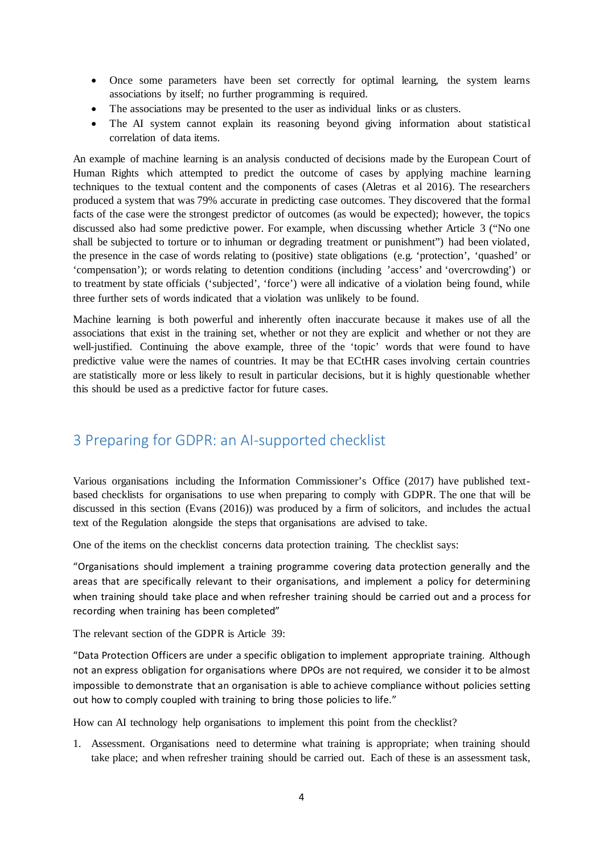- Once some parameters have been set correctly for optimal learning, the system learns associations by itself; no further programming is required.
- The associations may be presented to the user as individual links or as clusters.
- The AI system cannot explain its reasoning beyond giving information about statistical correlation of data items.

An example of machine learning is an analysis conducted of decisions made by the European Court of Human Rights which attempted to predict the outcome of cases by applying machine learning techniques to the textual content and the components of cases (Aletras et al 2016). The researchers produced a system that was 79% accurate in predicting case outcomes. They discovered that the formal facts of the case were the strongest predictor of outcomes (as would be expected); however, the topics discussed also had some predictive power. For example, when discussing whether Article 3 ("No one shall be subjected to torture or to inhuman or degrading treatment or punishment") had been violated, the presence in the case of words relating to (positive) state obligations (e.g. 'protection', 'quashed' or 'compensation'); or words relating to detention conditions (including 'access' and 'overcrowding') or to treatment by state officials ('subjected', 'force') were all indicative of a violation being found, while three further sets of words indicated that a violation was unlikely to be found.

Machine learning is both powerful and inherently often inaccurate because it makes use of all the associations that exist in the training set, whether or not they are explicit and whether or not they are well-justified. Continuing the above example, three of the 'topic' words that were found to have predictive value were the names of countries. It may be that ECtHR cases involving certain countries are statistically more or less likely to result in particular decisions, but it is highly questionable whether this should be used as a predictive factor for future cases.

#### 3 Preparing for GDPR: an AI-supported checklist

Various organisations including the Information Commissioner's Office (2017) have published textbased checklists for organisations to use when preparing to comply with GDPR. The one that will be discussed in this section (Evans (2016)) was produced by a firm of solicitors, and includes the actual text of the Regulation alongside the steps that organisations are advised to take.

One of the items on the checklist concerns data protection training. The checklist says:

"Organisations should implement a training programme covering data protection generally and the areas that are specifically relevant to their organisations, and implement a policy for determining when training should take place and when refresher training should be carried out and a process for recording when training has been completed"

The relevant section of the GDPR is Article 39:

"Data Protection Officers are under a specific obligation to implement appropriate training. Although not an express obligation for organisations where DPOs are not required, we consider it to be almost impossible to demonstrate that an organisation is able to achieve compliance without policies setting out how to comply coupled with training to bring those policies to life."

How can AI technology help organisations to implement this point from the checklist?

1. Assessment. Organisations need to determine what training is appropriate; when training should take place; and when refresher training should be carried out. Each of these is an assessment task,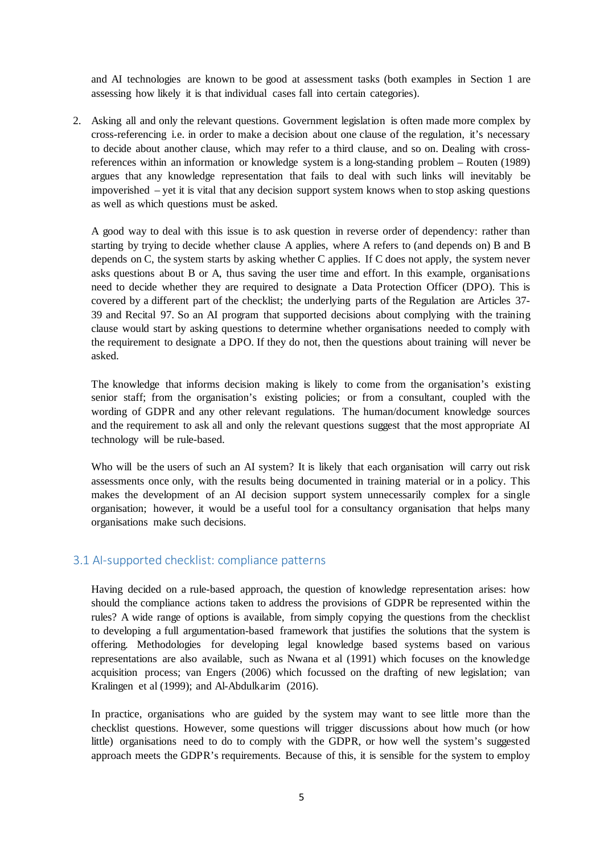and AI technologies are known to be good at assessment tasks (both examples in Section 1 are assessing how likely it is that individual cases fall into certain categories).

2. Asking all and only the relevant questions. Government legislation is often made more complex by cross-referencing i.e. in order to make a decision about one clause of the regulation, it's necessary to decide about another clause, which may refer to a third clause, and so on. Dealing with crossreferences within an information or knowledge system is a long-standing problem – Routen (1989) argues that any knowledge representation that fails to deal with such links will inevitably be impoverished – yet it is vital that any decision support system knows when to stop asking questions as well as which questions must be asked.

A good way to deal with this issue is to ask question in reverse order of dependency: rather than starting by trying to decide whether clause A applies, where A refers to (and depends on) B and B depends on C, the system starts by asking whether C applies. If C does not apply, the system never asks questions about B or A, thus saving the user time and effort. In this example, organisations need to decide whether they are required to designate a Data Protection Officer (DPO). This is covered by a different part of the checklist; the underlying parts of the Regulation are Articles 37- 39 and Recital 97. So an AI program that supported decisions about complying with the training clause would start by asking questions to determine whether organisations needed to comply with the requirement to designate a DPO. If they do not, then the questions about training will never be asked.

The knowledge that informs decision making is likely to come from the organisation's existing senior staff; from the organisation's existing policies; or from a consultant, coupled with the wording of GDPR and any other relevant regulations. The human/document knowledge sources and the requirement to ask all and only the relevant questions suggest that the most appropriate AI technology will be rule-based.

Who will be the users of such an AI system? It is likely that each organisation will carry out risk assessments once only, with the results being documented in training material or in a policy. This makes the development of an AI decision support system unnecessarily complex for a single organisation; however, it would be a useful tool for a consultancy organisation that helps many organisations make such decisions.

#### 3.1 AI-supported checklist: compliance patterns

Having decided on a rule-based approach, the question of knowledge representation arises: how should the compliance actions taken to address the provisions of GDPR be represented within the rules? A wide range of options is available, from simply copying the questions from the checklist to developing a full argumentation-based framework that justifies the solutions that the system is offering. Methodologies for developing legal knowledge based systems based on various representations are also available, such as Nwana et al (1991) which focuses on the knowledge acquisition process; van Engers (2006) which focussed on the drafting of new legislation; van Kralingen et al (1999); and Al-Abdulkarim (2016).

In practice, organisations who are guided by the system may want to see little more than the checklist questions. However, some questions will trigger discussions about how much (or how little) organisations need to do to comply with the GDPR, or how well the system's suggested approach meets the GDPR's requirements. Because of this, it is sensible for the system to employ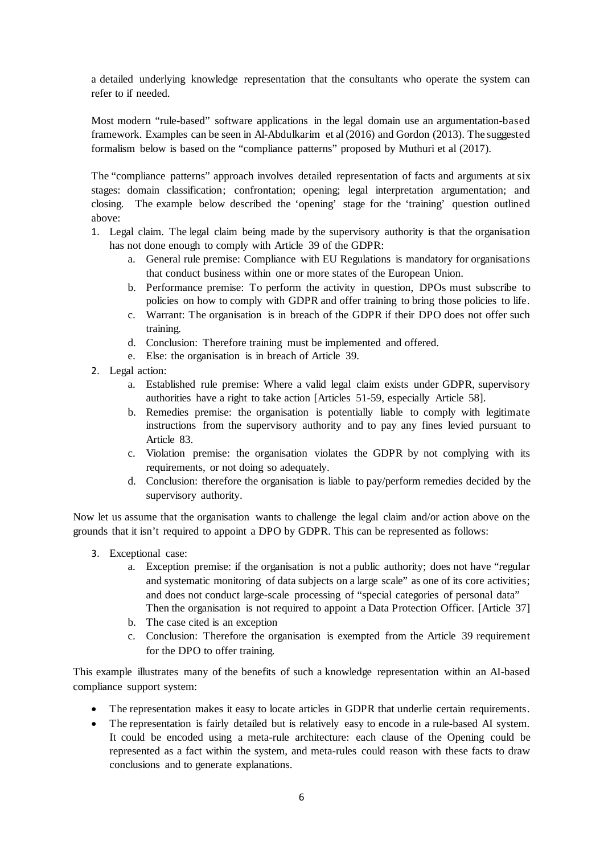a detailed underlying knowledge representation that the consultants who operate the system can refer to if needed.

Most modern "rule-based" software applications in the legal domain use an argumentation-based framework. Examples can be seen in Al-Abdulkarim et al (2016) and Gordon (2013). The suggested formalism below is based on the "compliance patterns" proposed by Muthuri et al (2017).

The "compliance patterns" approach involves detailed representation of facts and arguments at six stages: domain classification; confrontation; opening; legal interpretation argumentation; and closing. The example below described the 'opening' stage for the 'training' question outlined above:

- 1. Legal claim. The legal claim being made by the supervisory authority is that the organisation has not done enough to comply with Article 39 of the GDPR:
	- a. General rule premise: Compliance with EU Regulations is mandatory for organisations that conduct business within one or more states of the European Union.
	- b. Performance premise: To perform the activity in question, DPOs must subscribe to policies on how to comply with GDPR and offer training to bring those policies to life.
	- c. Warrant: The organisation is in breach of the GDPR if their DPO does not offer such training.
	- d. Conclusion: Therefore training must be implemented and offered.
	- e. Else: the organisation is in breach of Article 39.
- 2. Legal action:
	- a. Established rule premise: Where a valid legal claim exists under GDPR, supervisory authorities have a right to take action [Articles 51-59, especially Article 58].
	- b. Remedies premise: the organisation is potentially liable to comply with legitimate instructions from the supervisory authority and to pay any fines levied pursuant to Article 83.
	- c. Violation premise: the organisation violates the GDPR by not complying with its requirements, or not doing so adequately.
	- d. Conclusion: therefore the organisation is liable to pay/perform remedies decided by the supervisory authority.

Now let us assume that the organisation wants to challenge the legal claim and/or action above on the grounds that it isn't required to appoint a DPO by GDPR. This can be represented as follows:

- 3. Exceptional case:
	- a. Exception premise: if the organisation is not a public authority; does not have "regular and systematic monitoring of data subjects on a large scale" as one of its core activities; and does not conduct large-scale processing of "special categories of personal data" Then the organisation is not required to appoint a Data Protection Officer. [Article 37]
	- b. The case cited is an exception
	- c. Conclusion: Therefore the organisation is exempted from the Article 39 requirement for the DPO to offer training.

This example illustrates many of the benefits of such a knowledge representation within an AI-based compliance support system:

- The representation makes it easy to locate articles in GDPR that underlie certain requirements.
- The representation is fairly detailed but is relatively easy to encode in a rule-based AI system. It could be encoded using a meta-rule architecture: each clause of the Opening could be represented as a fact within the system, and meta-rules could reason with these facts to draw conclusions and to generate explanations.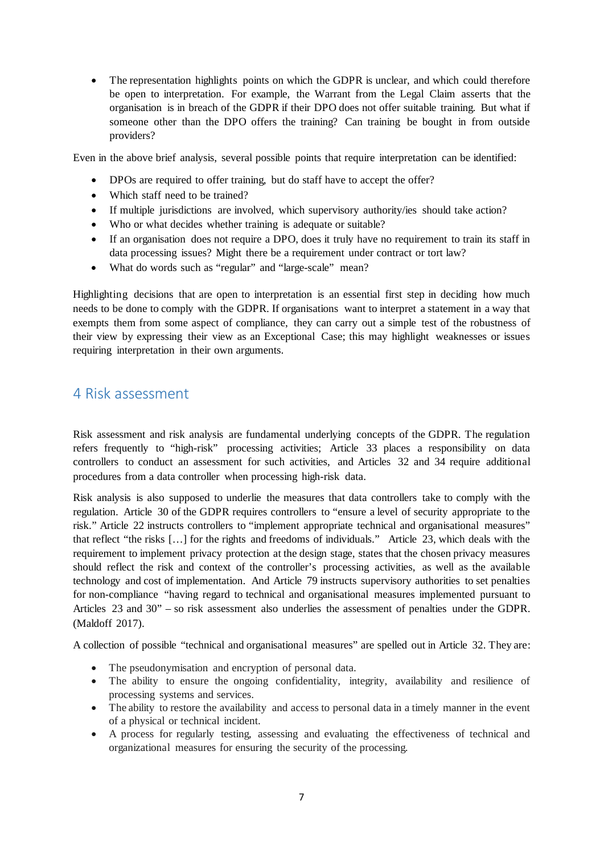• The representation highlights points on which the GDPR is unclear, and which could therefore be open to interpretation. For example, the Warrant from the Legal Claim asserts that the organisation is in breach of the GDPR if their DPO does not offer suitable training. But what if someone other than the DPO offers the training? Can training be bought in from outside providers?

Even in the above brief analysis, several possible points that require interpretation can be identified:

- DPOs are required to offer training, but do staff have to accept the offer?
- Which staff need to be trained?
- If multiple jurisdictions are involved, which supervisory authority/ies should take action?
- Who or what decides whether training is adequate or suitable?
- If an organisation does not require a DPO, does it truly have no requirement to train its staff in data processing issues? Might there be a requirement under contract or tort law?
- What do words such as "regular" and "large-scale" mean?

Highlighting decisions that are open to interpretation is an essential first step in deciding how much needs to be done to comply with the GDPR. If organisations want to interpret a statement in a way that exempts them from some aspect of compliance, they can carry out a simple test of the robustness of their view by expressing their view as an Exceptional Case; this may highlight weaknesses or issues requiring interpretation in their own arguments.

#### 4 Risk assessment

Risk assessment and risk analysis are fundamental underlying concepts of the GDPR. The regulation refers frequently to "high-risk" processing activities; Article 33 places a responsibility on data controllers to conduct an assessment for such activities, and Articles 32 and 34 require additional procedures from a data controller when processing high-risk data.

Risk analysis is also supposed to underlie the measures that data controllers take to comply with the regulation. Article 30 of the GDPR requires controllers to "ensure a level of security appropriate to the risk." Article 22 instructs controllers to "implement appropriate technical and organisational measures" that reflect "the risks […] for the rights and freedoms of individuals." Article 23, which deals with the requirement to implement privacy protection at the design stage, states that the chosen privacy measures should reflect the risk and context of the controller's processing activities, as well as the available technology and cost of implementation. And Article 79 instructs supervisory authorities to set penalties for non-compliance "having regard to technical and organisational measures implemented pursuant to Articles 23 and 30" – so risk assessment also underlies the assessment of penalties under the GDPR. [\(Maldoff](https://iapp.org/media/pdf/resource_center/GDPR_Study_Maldoff.pdf) 2017).

A collection of possible "technical and organisational measures" are spelled out in Article 32. They are:

- The pseudonymisation and encryption of personal data.
- The ability to ensure the ongoing confidentiality, integrity, availability and resilience of processing systems and services.
- The ability to restore the availability and access to personal data in a timely manner in the event of a physical or technical incident.
- A process for regularly testing, assessing and evaluating the effectiveness of technical and organizational measures for ensuring the security of the processing.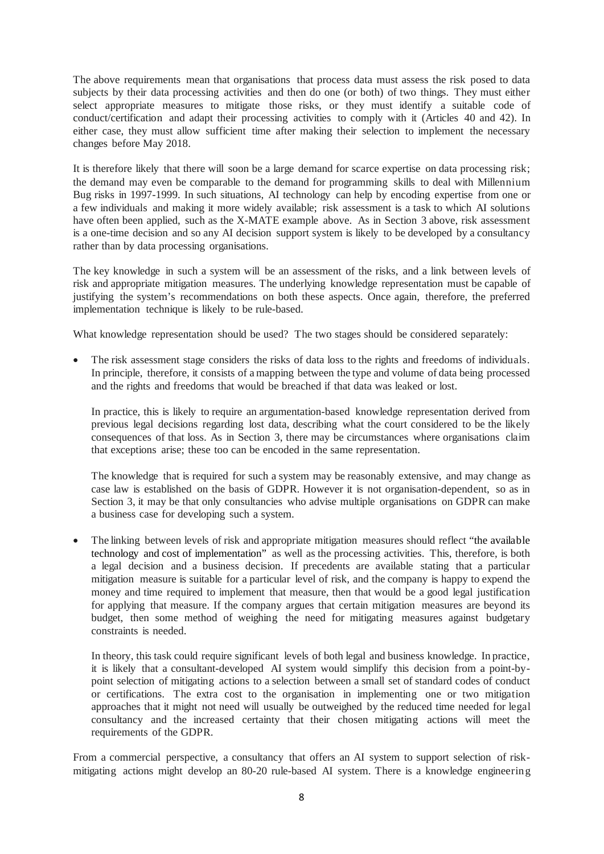The above requirements mean that organisations that process data must assess the risk posed to data subjects by their data processing activities and then do one (or both) of two things. They must either select appropriate measures to mitigate those risks, or they must identify a suitable code of conduct/certification and adapt their processing activities to comply with it (Articles 40 and 42). In either case, they must allow sufficient time after making their selection to implement the necessary changes before May 2018.

It is therefore likely that there will soon be a large demand for scarce expertise on data processing risk; the demand may even be comparable to the demand for programming skills to deal with Millennium Bug risks in 1997-1999. In such situations, AI technology can help by encoding expertise from one or a few individuals and making it more widely available; risk assessment is a task to which AI solutions have often been applied, such as the X-MATE example above. As in Section 3 above, risk assessment is a one-time decision and so any AI decision support system is likely to be developed by a consultancy rather than by data processing organisations.

The key knowledge in such a system will be an assessment of the risks, and a link between levels of risk and appropriate mitigation measures. The underlying knowledge representation must be capable of justifying the system's recommendations on both these aspects. Once again, therefore, the preferred implementation technique is likely to be rule-based.

What knowledge representation should be used? The two stages should be considered separately:

The risk assessment stage considers the risks of data loss to the rights and freedoms of individuals. In principle, therefore, it consists of a mapping between the type and volume of data being processed and the rights and freedoms that would be breached if that data was leaked or lost.

In practice, this is likely to require an argumentation-based knowledge representation derived from previous legal decisions regarding lost data, describing what the court considered to be the likely consequences of that loss. As in Section 3, there may be circumstances where organisations claim that exceptions arise; these too can be encoded in the same representation.

The knowledge that is required for such a system may be reasonably extensive, and may change as case law is established on the basis of GDPR. However it is not organisation-dependent, so as in Section 3, it may be that only consultancies who advise multiple organisations on GDPR can make a business case for developing such a system.

• The linking between levels of risk and appropriate mitigation measures should reflect "the available technology and cost of implementation" as well as the processing activities. This, therefore, is both a legal decision and a business decision. If precedents are available stating that a particular mitigation measure is suitable for a particular level of risk, and the company is happy to expend the money and time required to implement that measure, then that would be a good legal justification for applying that measure. If the company argues that certain mitigation measures are beyond its budget, then some method of weighing the need for mitigating measures against budgetary constraints is needed.

In theory, this task could require significant levels of both legal and business knowledge. In practice, it is likely that a consultant-developed AI system would simplify this decision from a point-bypoint selection of mitigating actions to a selection between a small set of standard codes of conduct or certifications. The extra cost to the organisation in implementing one or two mitigation approaches that it might not need will usually be outweighed by the reduced time needed for legal consultancy and the increased certainty that their chosen mitigating actions will meet the requirements of the GDPR.

From a commercial perspective, a consultancy that offers an AI system to support selection of riskmitigating actions might develop an 80-20 rule-based AI system. There is a knowledge engineering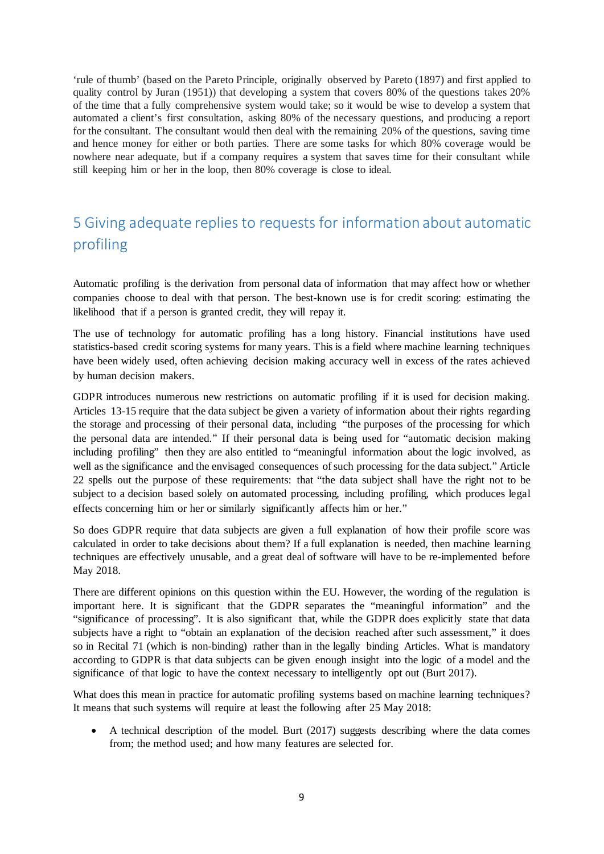'rule of thumb' (based on the Pareto Principle, originally observed by Pareto (1897) and first applied to quality control by Juran (1951)) that developing a system that covers 80% of the questions takes 20% of the time that a fully comprehensive system would take; so it would be wise to develop a system that automated a client's first consultation, asking 80% of the necessary questions, and producing a report for the consultant. The consultant would then deal with the remaining 20% of the questions, saving time and hence money for either or both parties. There are some tasks for which 80% coverage would be nowhere near adequate, but if a company requires a system that saves time for their consultant while still keeping him or her in the loop, then 80% coverage is close to ideal.

## 5 Giving adequate replies to requests for information about automatic profiling

Automatic profiling is the derivation from personal data of information that may affect how or whether companies choose to deal with that person. The best-known use is for credit scoring: estimating the likelihood that if a person is granted credit, they will repay it.

The use of technology for automatic profiling has a long history. Financial institutions have used statistics-based credit scoring systems for many years. This is a field where machine learning techniques have been widely used, often achieving decision making accuracy well in excess of the rates achieved by human decision makers.

GDPR introduces numerous new restrictions on automatic profiling if it is used for decision making. Articles 13-15 require that the data subject be given a variety of information about their rights regarding the storage and processing of their personal data, including "the purposes of the processing for which the personal data are intended." If their personal data is being used for "automatic decision making including profiling" then they are also entitled to "meaningful information about the logic involved, as well as the significance and the envisaged consequences of such processing for the data subject." Article 22 spells out the purpose of these requirements: that "the data subject shall have the right not to be subject to a decision based solely on automated processing, including profiling, which produces legal effects concerning him or her or similarly significantly affects him or her."

So does GDPR require that data subjects are given a full explanation of how their profile score was calculated in order to take decisions about them? If a full explanation is needed, then machine learning techniques are effectively unusable, and a great deal of software will have to be re-implemented before May 2018.

There are different opinions on this question within the EU. However, the wording of the regulation is important here. It is significant that the GDPR separates the "meaningful information" and the "significance of processing". It is also significant that, while the GDPR does explicitly state that data subjects have a right to "obtain an explanation of the decision reached after such assessment," it does so in Recital 71 (which is non-binding) rather than in the legally binding Articles. What is mandatory according to GDPR is that data subjects can be given enough insight into the logic of a model and the significance of that logic to have the context necessary to intelligently opt out (Burt 2017).

What does this mean in practice for automatic profiling systems based on machine learning techniques? It means that such systems will require at least the following after 25 May 2018:

• A technical description of the model. Burt (2017) suggests describing where the data comes from; the method used; and how many features are selected for.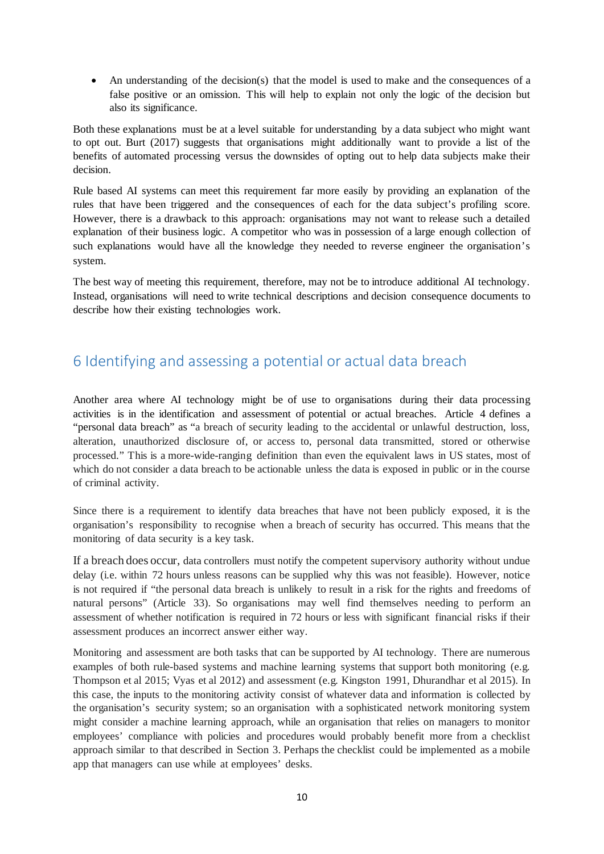• An understanding of the decision(s) that the model is used to make and the consequences of a false positive or an omission. This will help to explain not only the logic of the decision but also its significance.

Both these explanations must be at a level suitable for understanding by a data subject who might want to opt out. Burt (2017) suggests that organisations might additionally want to provide a list of the benefits of automated processing versus the downsides of opting out to help data subjects make their decision.

Rule based AI systems can meet this requirement far more easily by providing an explanation of the rules that have been triggered and the consequences of each for the data subject's profiling score. However, there is a drawback to this approach: organisations may not want to release such a detailed explanation of their business logic. A competitor who was in possession of a large enough collection of such explanations would have all the knowledge they needed to reverse engineer the organisation's system.

The best way of meeting this requirement, therefore, may not be to introduce additional AI technology. Instead, organisations will need to write technical descriptions and decision consequence documents to describe how their existing technologies work.

## 6 Identifying and assessing a potential or actual data breach

Another area where AI technology might be of use to organisations during their data processing activities is in the identification and assessment of potential or actual breaches. Article 4 defines a "personal data breach" as "a breach of security leading to the accidental or unlawful destruction, loss, alteration, unauthorized disclosure of, or access to, personal data transmitted, stored or otherwise processed." This is a more-wide-ranging definition than even the equivalent laws in US states, most of which do not consider a data breach to be actionable unless the data is exposed in public or in the course of criminal activity.

Since there is a requirement to identify data breaches that have not been publicly exposed, it is the organisation's responsibility to recognise when a breach of security has occurred. This means that the monitoring of data security is a key task.

If a breach does occur, data controllers must notify the competent supervisory authority without undue delay (i.e. within 72 hours unless reasons can be supplied why this was not feasible). However, notice is not required if "the personal data breach is unlikely to result in a risk for the rights and freedoms of natural persons" (Article 33). So organisations may well find themselves needing to perform an assessment of whether notification is required in 72 hours or less with significant financial risks if their assessment produces an incorrect answer either way.

Monitoring and assessment are both tasks that can be supported by AI technology. There are numerous examples of both rule-based systems and machine learning systems that support both monitoring (e.g. Thompson et al 2015; Vyas et al 2012) and assessment (e.g. Kingston 1991, Dhurandhar et al 2015). In this case, the inputs to the monitoring activity consist of whatever data and information is collected by the organisation's security system; so an organisation with a sophisticated network monitoring system might consider a machine learning approach, while an organisation that relies on managers to monitor employees' compliance with policies and procedures would probably benefit more from a checklist approach similar to that described in Section 3. Perhaps the checklist could be implemented as a mobile app that managers can use while at employees' desks.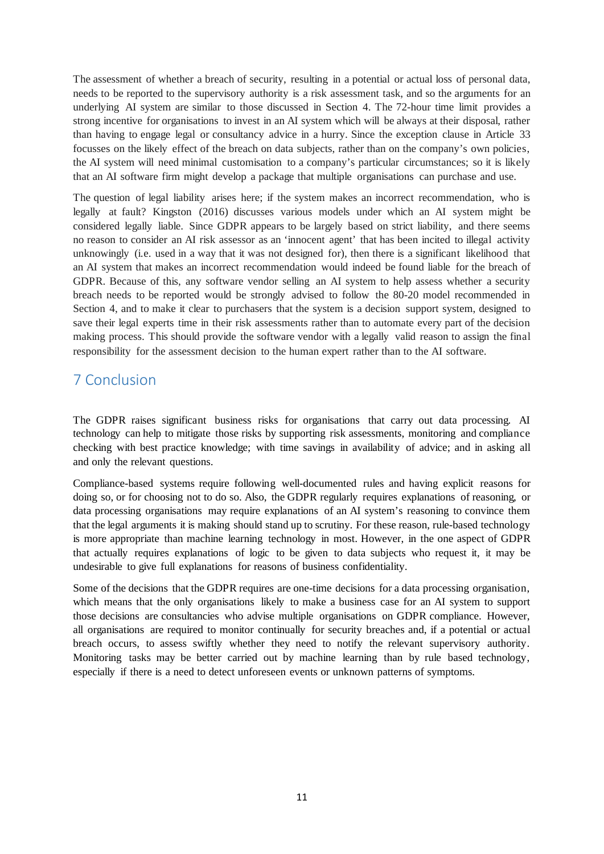The assessment of whether a breach of security, resulting in a potential or actual loss of personal data, needs to be reported to the supervisory authority is a risk assessment task, and so the arguments for an underlying AI system are similar to those discussed in Section 4. The 72-hour time limit provides a strong incentive for organisations to invest in an AI system which will be always at their disposal, rather than having to engage legal or consultancy advice in a hurry. Since the exception clause in Article 33 focusses on the likely effect of the breach on data subjects, rather than on the company's own policies, the AI system will need minimal customisation to a company's particular circumstances; so it is likely that an AI software firm might develop a package that multiple organisations can purchase and use.

The question of legal liability arises here; if the system makes an incorrect recommendation, who is legally at fault? Kingston (2016) discusses various models under which an AI system might be considered legally liable. Since GDPR appears to be largely based on strict liability, and there seems no reason to consider an AI risk assessor as an 'innocent agent' that has been incited to illegal activity unknowingly (i.e. used in a way that it was not designed for), then there is a significant likelihood that an AI system that makes an incorrect recommendation would indeed be found liable for the breach of GDPR. Because of this, any software vendor selling an AI system to help assess whether a security breach needs to be reported would be strongly advised to follow the 80-20 model recommended in Section 4, and to make it clear to purchasers that the system is a decision support system, designed to save their legal experts time in their risk assessments rather than to automate every part of the decision making process. This should provide the software vendor with a legally valid reason to assign the final responsibility for the assessment decision to the human expert rather than to the AI software.

### 7 Conclusion

The GDPR raises significant business risks for organisations that carry out data processing. AI technology can help to mitigate those risks by supporting risk assessments, monitoring and compliance checking with best practice knowledge; with time savings in availability of advice; and in asking all and only the relevant questions.

Compliance-based systems require following well-documented rules and having explicit reasons for doing so, or for choosing not to do so. Also, the GDPR regularly requires explanations of reasoning, or data processing organisations may require explanations of an AI system's reasoning to convince them that the legal arguments it is making should stand up to scrutiny. For these reason, rule-based technology is more appropriate than machine learning technology in most. However, in the one aspect of GDPR that actually requires explanations of logic to be given to data subjects who request it, it may be undesirable to give full explanations for reasons of business confidentiality.

Some of the decisions that the GDPR requires are one-time decisions for a data processing organisation, which means that the only organisations likely to make a business case for an AI system to support those decisions are consultancies who advise multiple organisations on GDPR compliance. However, all organisations are required to monitor continually for security breaches and, if a potential or actual breach occurs, to assess swiftly whether they need to notify the relevant supervisory authority. Monitoring tasks may be better carried out by machine learning than by rule based technology, especially if there is a need to detect unforeseen events or unknown patterns of symptoms.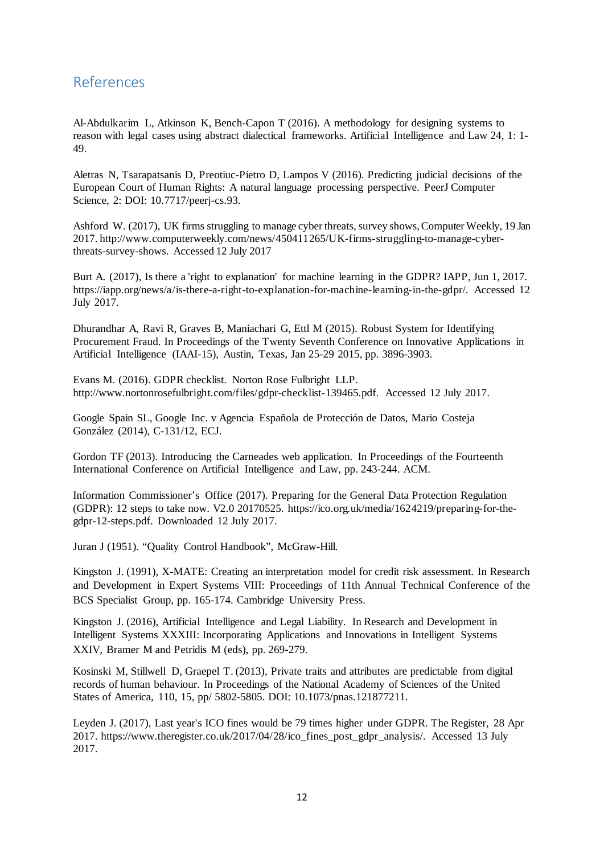#### References

Al-Abdulkarim L, Atkinson K, Bench-Capon T (2016). A methodology for designing systems to reason with legal cases using abstract dialectical frameworks. Artificial Intelligence and Law 24, 1: 1- 49.

Aletras N, Tsarapatsanis D, Preotiuc-Pietro D, Lampos V (2016). Predicting judicial decisions of the European Court of Human Rights: A natural language processing perspective. PeerJ Computer Science, 2: DOI: 10.7717/peerj-cs.93.

Ashford W. (2017), UK firms struggling to manage cyber threats, survey shows,Computer Weekly, 19 Jan 2017. http://www.computerweekly.com/news/450411265/UK-firms-struggling-to-manage-cyberthreats-survey-shows. Accessed 12 July 2017

Burt A. (2017), Is there a 'right to explanation' for machine learning in the GDPR? IAPP, Jun 1, 2017. https://iapp.org/news/a/is-there-a-right-to-explanation-for-machine-learning-in-the-gdpr/. Accessed 12 July 2017.

Dhurandhar A, Ravi R, Graves B, Maniachari G, Ettl M (2015). Robust System for Identifying Procurement Fraud. In Proceedings of the Twenty Seventh Conference on Innovative Applications in Artificial Intelligence (IAAI-15), Austin, Texas, Jan 25-29 2015, pp. 3896-3903.

Evans M. (2016). GDPR checklist. Norton Rose Fulbright LLP. http://www.nortonrosefulbright.com/files/gdpr-checklist-139465.pdf. Accessed 12 July 2017.

Google Spain SL, Google Inc. v Agencia Española de Protección de Datos, Mario Costeja González (2014), C-131/12, ECJ.

Gordon TF (2013). Introducing the Carneades web application. In Proceedings of the Fourteenth International Conference on Artificial Intelligence and Law, pp. 243-244. ACM.

Information Commissioner's Office (2017). Preparing for the General Data Protection Regulation (GDPR): 12 steps to take now. V2.0 20170525. https://ico.org.uk/media/1624219/preparing-for-thegdpr-12-steps.pdf. Downloaded 12 July 2017.

Juran J (1951). "Quality Control Handbook", McGraw-Hill.

Kingston J. (1991), X-MATE: Creating an interpretation model for credit risk assessment. In Research and Development in Expert Systems VIII: Proceedings of 11th Annual Technical Conference of the BCS Specialist Group, pp. 165-174. Cambridge University Press.

Kingston J. (2016), Artificial Intelligence and Legal Liability. In Research and Development in Intelligent Systems XXXIII: Incorporating Applications and Innovations in Intelligent Systems XXIV, Bramer M and Petridis M (eds), pp. 269-279.

Kosinski M, Stillwell D, Graepel T. (2013), Private traits and attributes are predictable from digital records of human behaviour. In Proceedings of the National Academy of Sciences of the United States of America, 110, 15, pp/ 5802-5805. DOI: 10.1073/pnas.121877211.

Leyden J. (2017), Last year's ICO fines would be 79 times higher under GDPR. The Register, 28 Apr 2017. https://www.theregister.co.uk/2017/04/28/ico\_fines\_post\_gdpr\_analysis/. Accessed 13 July 2017.